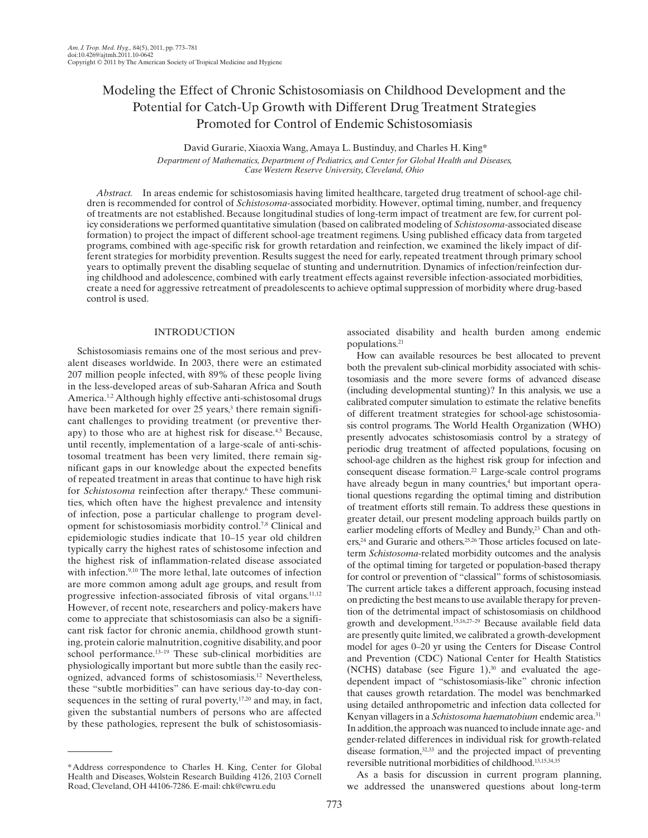# Modeling the Effect of Chronic Schistosomiasis on Childhood Development and the Potential for Catch-Up Growth with Different Drug Treatment Strategies Promoted for Control of Endemic Schistosomiasis

David Gurarie, Xiaoxia Wang, Amaya L. Bustinduy, and Charles H. King\*  *Department of Mathematics, Department of Pediatrics, and Center for Global Health and Diseases, Case Western Reserve University, Cleveland, Ohio* 

*Abstract.* In areas endemic for schistosomiasis having limited healthcare, targeted drug treatment of school-age children is recommended for control of *Schistosoma*-associated morbidity. However, optimal timing, number, and frequency of treatments are not established. Because longitudinal studies of long-term impact of treatment are few, for current policy considerations we performed quantitative simulation (based on calibrated modeling of *Schistosoma* -associated disease formation) to project the impact of different school-age treatment regimens. Using published efficacy data from targeted programs, combined with age-specific risk for growth retardation and reinfection, we examined the likely impact of different strategies for morbidity prevention. Results suggest the need for early, repeated treatment through primary school years to optimally prevent the disabling sequelae of stunting and undernutrition. Dynamics of infection/reinfection during childhood and adolescence, combined with early treatment effects against reversible infection-associated morbidities, create a need for aggressive retreatment of preadolescents to achieve optimal suppression of morbidity where drug-based control is used.

### INTRODUCTION

 Schistosomiasis remains one of the most serious and prevalent diseases worldwide. In 2003, there were an estimated 207 million people infected, with 89% of these people living in the less-developed areas of sub-Saharan Africa and South America.<sup>1,2</sup> Although highly effective anti-schistosomal drugs have been marketed for over 25 years,<sup>3</sup> there remain significant challenges to providing treatment (or preventive therapy) to those who are at highest risk for disease.<sup>4,5</sup> Because, until recently, implementation of a large-scale of anti-schistosomal treatment has been very limited, there remain significant gaps in our knowledge about the expected benefits of repeated treatment in areas that continue to have high risk for *Schistosoma* reinfection after therapy.<sup>6</sup> These communities, which often have the highest prevalence and intensity of infection, pose a particular challenge to program development for schistosomiasis morbidity control.<sup>7,8</sup> Clinical and epidemiologic studies indicate that 10–15 year old children typically carry the highest rates of schistosome infection and the highest risk of inflammation-related disease associated with infection.<sup>9,10</sup> The more lethal, late outcomes of infection are more common among adult age groups, and result from progressive infection-associated fibrosis of vital organs.<sup>11,12</sup> However, of recent note, researchers and policy-makers have come to appreciate that schistosomiasis can also be a significant risk factor for chronic anemia, childhood growth stunting, protein calorie malnutrition, cognitive disability, and poor school performance.<sup>13-19</sup> These sub-clinical morbidities are physiologically important but more subtle than the easily recognized, advanced forms of schistosomiasis.<sup>12</sup> Nevertheless, these "subtle morbidities" can have serious day-to-day consequences in the setting of rural poverty,  $17,20$  and may, in fact, given the substantial numbers of persons who are affected by these pathologies, represent the bulk of schistosomiasisassociated disability and health burden among endemic populations. 21

 How can available resources be best allocated to prevent both the prevalent sub-clinical morbidity associated with schistosomiasis and the more severe forms of advanced disease (including developmental stunting)? In this analysis, we use a calibrated computer simulation to estimate the relative benefits of different treatment strategies for school-age schistosomiasis control programs. The World Health Organization (WHO) presently advocates schistosomiasis control by a strategy of periodic drug treatment of affected populations, focusing on school-age children as the highest risk group for infection and consequent disease formation.<sup>22</sup> Large-scale control programs have already begun in many countries,<sup>4</sup> but important operational questions regarding the optimal timing and distribution of treatment efforts still remain. To address these questions in greater detail, our present modeling approach builds partly on earlier modeling efforts of Medley and Bundy,<sup>23</sup> Chan and others,<sup>24</sup> and Gurarie and others.<sup>25,26</sup> Those articles focused on lateterm *Schistosoma-* related morbidity outcomes and the analysis of the optimal timing for targeted or population-based therapy for control or prevention of "classical" forms of schistosomiasis. The current article takes a different approach, focusing instead on predicting the best means to use available therapy for prevention of the detrimental impact of schistosomiasis on childhood growth and development. 15,16,27–29 Because available field data are presently quite limited, we calibrated a growth-development model for ages 0–20 yr using the Centers for Disease Control and Prevention (CDC) National Center for Health Statistics (NCHS) database (see Figure  $1$ ),<sup>30</sup> and evaluated the agedependent impact of "schistosomiasis-like" chronic infection that causes growth retardation. The model was benchmarked using detailed anthropometric and infection data collected for Kenyan villagers in a *Schistosoma haematobium* endemic area. 31 In addition, the approach was nuanced to include innate age- and gender-related differences in individual risk for growth-related disease formation, 32,33 and the projected impact of preventing reversible nutritional morbidities of childhood. 13,15,34,35

 As a basis for discussion in current program planning, we addressed the unanswered questions about long-term

 <sup>\*</sup> Address correspondence to Charles H. King, Center for Global Health and Diseases, Wolstein Research Building 4126, 2103 Cornell Road, Cleveland, OH 44106-7286. E-mail: chk@cwru.edu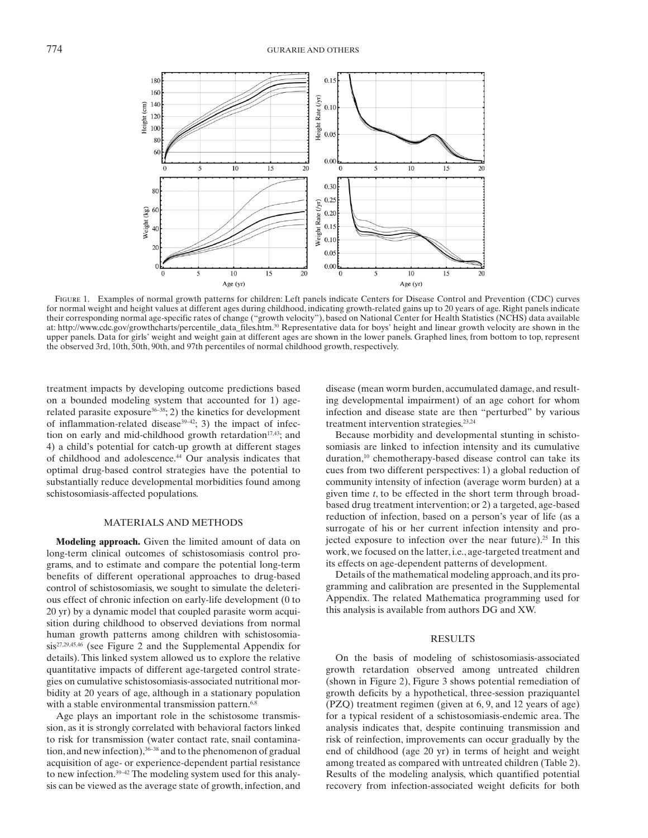

FIGURE 1. Examples of normal growth patterns for children: Left panels indicate Centers for Disease Control and Prevention (CDC) curves for normal weight and height values at different ages during childhood, indicating growth-related gains up to 20 years of age. Right panels indicate their corresponding normal age-specific rates of change ("growth velocity"), based on National Center for Health Statistics (NCHS) data available at: http://www.cdc.gov/growthcharts/percentile\_data\_files.htm . 30 Representative data for boys' height and linear growth velocity are shown in the upper panels. Data for girls' weight and weight gain at different ages are shown in the lower panels. Graphed lines, from bottom to top, represent the observed 3rd, 10th, 50th, 90th, and 97th percentiles of normal childhood growth, respectively.

treatment impacts by developing outcome predictions based on a bounded modeling system that accounted for 1) agerelated parasite exposure<sup>36-38</sup>; 2) the kinetics for development of inflammation-related disease<sup>39-42</sup>; 3) the impact of infection on early and mid-childhood growth retardation<sup>17,43</sup>; and 4) a child's potential for catch-up growth at different stages of childhood and adolescence.<sup>44</sup> Our analysis indicates that optimal drug-based control strategies have the potential to substantially reduce developmental morbidities found among schistosomiasis-affected populations.

## MATERIALS AND METHODS

 **Modeling approach.** Given the limited amount of data on long-term clinical outcomes of schistosomiasis control programs, and to estimate and compare the potential long-term benefits of different operational approaches to drug-based control of schistosomiasis, we sought to simulate the deleterious effect of chronic infection on early-life development (0 to 20 yr) by a dynamic model that coupled parasite worm acquisition during childhood to observed deviations from normal human growth patterns among children with schistosomiasis<sup>27,29,45,46</sup> (see Figure 2 and the Supplemental Appendix for details). This linked system allowed us to explore the relative quantitative impacts of different age-targeted control strategies on cumulative schistosomiasis-associated nutritional morbidity at 20 years of age, although in a stationary population with a stable environmental transmission pattern.<sup>6,8</sup>

 Age plays an important role in the schistosome transmission, as it is strongly correlated with behavioral factors linked to risk for transmission (water contact rate, snail contamination, and new infection), 36–38 and to the phenomenon of gradual acquisition of age- or experience-dependent partial resistance to new infection. 39–42 The modeling system used for this analysis can be viewed as the average state of growth, infection, and

disease (mean worm burden, accumulated damage, and resulting developmental impairment) of an age cohort for whom infection and disease state are then "perturbed" by various treatment intervention strategies. 23,24

 Because morbidity and developmental stunting in schistosomiasis are linked to infection intensity and its cumulative duration,<sup>10</sup> chemotherapy-based disease control can take its cues from two different perspectives: 1) a global reduction of community intensity of infection (average worm burden) at a given time *t*, to be effected in the short term through broadbased drug treatment intervention; or 2) a targeted, age-based reduction of infection, based on a person's year of life (as a surrogate of his or her current infection intensity and projected exposure to infection over the near future).<sup>25</sup> In this work, we focused on the latter, i.e., age-targeted treatment and its effects on age-dependent patterns of development.

 Details of the mathematical modeling approach, and its programming and calibration are presented in the Supplemental Appendix. The related Mathematica programming used for this analysis is available from authors DG and XW.

#### RESULTS

 On the basis of modeling of schistosomiasis-associated growth retardation observed among untreated children (shown in Figure 2), Figure 3 shows potential remediation of growth deficits by a hypothetical, three-session praziquantel (PZQ) treatment regimen (given at 6, 9, and 12 years of age) for a typical resident of a schistosomiasis-endemic area. The analysis indicates that, despite continuing transmission and risk of reinfection, improvements can occur gradually by the end of childhood (age 20 yr) in terms of height and weight among treated as compared with untreated children (Table 2). Results of the modeling analysis, which quantified potential recovery from infection-associated weight deficits for both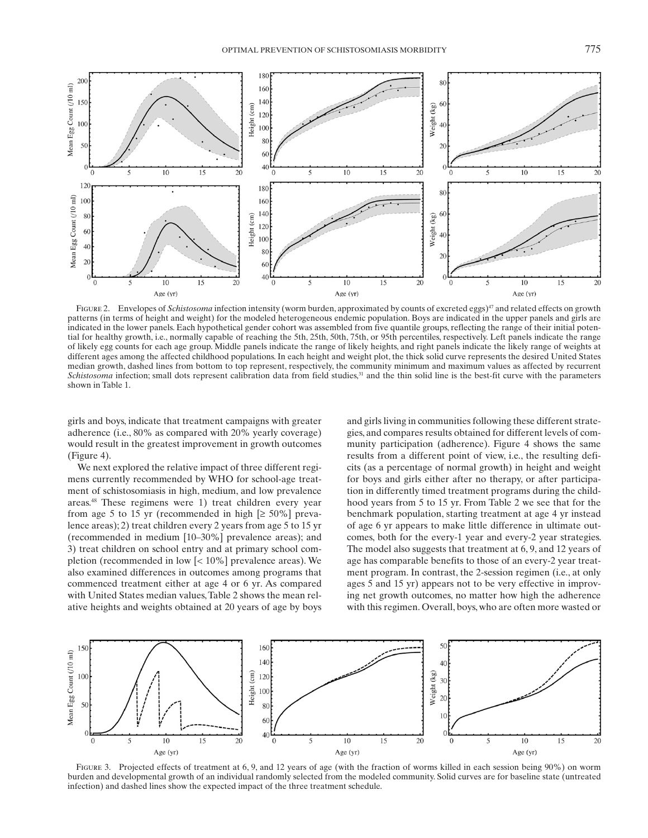

FIGURE 2. Envelopes of *Schistosoma* infection intensity (worm burden, approximated by counts of excreted eggs)<sup>47</sup> and related effects on growth patterns (in terms of height and weight) for the modeled heterogeneous endemic population. Boys are indicated in the upper panels and girls are indicated in the lower panels. Each hypothetical gender cohort was assembled from five quantile groups, reflecting the range of their initial potential for healthy growth, i.e., normally capable of reaching the 5th, 25th, 50th, 75th, or 95th percentiles, respectively. Left panels indicate the range of likely egg counts for each age group. Middle panels indicate the range of likely heights, and right panels indicate the likely range of weights at different ages among the affected childhood populations. In each height and weight plot, the thick solid curve represents the desired United States median growth, dashed lines from bottom to top represent, respectively, the community minimum and maximum values as affected by recurrent *Schistosoma* infection; small dots represent calibration data from field studies,<sup>31</sup> and the thin solid line is the best-fit curve with the parameters shown in Table 1.

girls and boys, indicate that treatment campaigns with greater adherence (i.e., 80% as compared with 20% yearly coverage) would result in the greatest improvement in growth outcomes  $(Figure 4)$ .

 We next explored the relative impact of three different regimens currently recommended by WHO for school-age treatment of schistosomiasis in high, medium, and low prevalence areas. 48 These regimens were 1) treat children every year from age 5 to 15 yr (recommended in high  $[\geq 50\%]$  prevalence areas); 2) treat children every 2 years from age 5 to 15 yr (recommended in medium [10–30%] prevalence areas); and 3) treat children on school entry and at primary school completion (recommended in low [< 10%] prevalence areas). We also examined differences in outcomes among programs that commenced treatment either at age 4 or 6 yr. As compared with United States median values, Table 2 shows the mean relative heights and weights obtained at 20 years of age by boys

and girls living in communities following these different strategies, and compares results obtained for different levels of community participation (adherence). Figure 4 shows the same results from a different point of view, i.e., the resulting deficits (as a percentage of normal growth) in height and weight for boys and girls either after no therapy, or after participation in differently timed treatment programs during the childhood years from 5 to 15 yr. From Table 2 we see that for the benchmark population, starting treatment at age 4 yr instead of age 6 yr appears to make little difference in ultimate outcomes, both for the every-1 year and every-2 year strategies. The model also suggests that treatment at 6, 9, and 12 years of age has comparable benefits to those of an every-2 year treatment program. In contrast, the 2-session regimen (i.e., at only ages 5 and 15 yr) appears not to be very effective in improving net growth outcomes, no matter how high the adherence with this regimen. Overall, boys, who are often more wasted or



FIGURE 3. Projected effects of treatment at 6, 9, and 12 years of age (with the fraction of worms killed in each session being 90%) on worm burden and developmental growth of an individual randomly selected from the modeled community. Solid curves are for baseline state (untreated infection) and dashed lines show the expected impact of the three treatment schedule.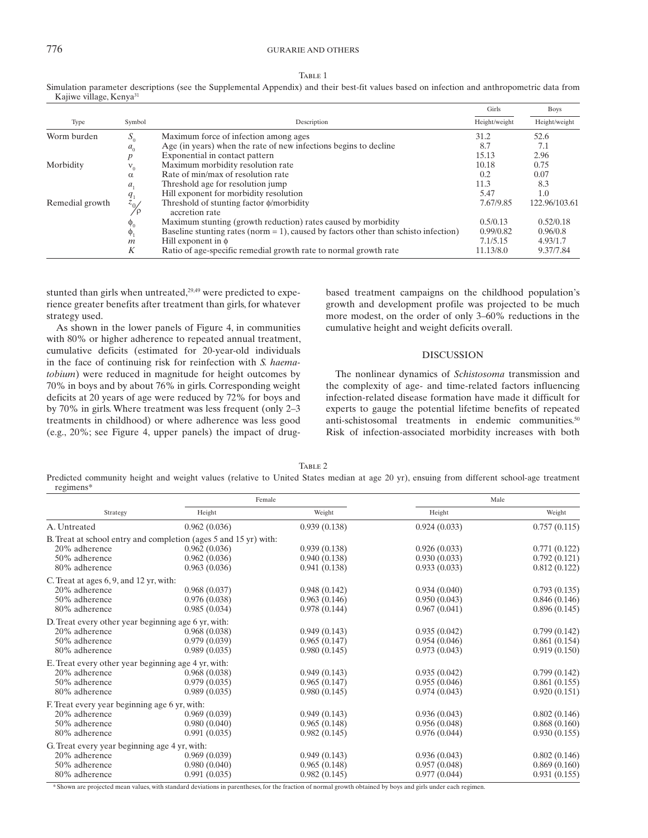## 776 GURARIE AND OTHERS

| ۰.<br>I<br>×.<br>۰,<br>I<br>۰.<br>× |  |
|-------------------------------------|--|
|-------------------------------------|--|

 Simulation parameter descriptions (see the Supplemental Appendix) and their best-fit values based on infection and anthropometric data from Kajiwe village, Kenya<sup>31</sup>

|                     |                                                                  |                                                                                        | Girls     | <b>Boys</b>   |
|---------------------|------------------------------------------------------------------|----------------------------------------------------------------------------------------|-----------|---------------|
| Type                | Symbol                                                           | Description                                                                            |           | Height/weight |
| Worm burden         | $S_0$                                                            | Maximum force of infection among ages                                                  | 31.2      | 52.6          |
| a <sub>0</sub><br>p | Age (in years) when the rate of new infections begins to decline | 8.7                                                                                    | 7.1       |               |
|                     | Exponential in contact pattern                                   | 15.13                                                                                  | 2.96      |               |
| Morbidity           | $V_0$                                                            | Maximum morbidity resolution rate                                                      | 10.18     | 0.75          |
|                     | $\alpha$                                                         | Rate of min/max of resolution rate                                                     | 0.2       | 0.07          |
|                     | a.                                                               | Threshold age for resolution jump                                                      | 11.3      | 8.3           |
|                     |                                                                  | Hill exponent for morbidity resolution                                                 | 5.47      | 1.0           |
| Remedial growth     | $\frac{q_1}{z_{0/2}}$<br>⁄ρ                                      | Threshold of stunting factor $\phi$ /morbidity<br>accretion rate                       | 7.67/9.85 | 122.96/103.61 |
|                     | $\Phi_0$                                                         | Maximum stunting (growth reduction) rates caused by morbidity                          | 0.5/0.13  | 0.52/0.18     |
|                     | $\phi_1$                                                         | Baseline stunting rates (norm $= 1$ ), caused by factors other than schisto infection) | 0.99/0.82 | 0.96/0.8      |
|                     | $\mathfrak{m}$                                                   | Hill exponent in $\phi$                                                                | 7.1/5.15  | 4.93/1.7      |
|                     | K                                                                | Ratio of age-specific remedial growth rate to normal growth rate                       | 11.13/8.0 | 9.37/7.84     |

stunted than girls when untreated, $29,49$  were predicted to experience greater benefits after treatment than girls, for whatever strategy used.

As shown in the lower panels of Figure 4, in communities with 80% or higher adherence to repeated annual treatment, cumulative deficits (estimated for 20-year-old individuals in the face of continuing risk for reinfection with *S. haematobium*) were reduced in magnitude for height outcomes by 70% in boys and by about 76% in girls. Corresponding weight deficits at 20 years of age were reduced by 72% for boys and by 70% in girls. Where treatment was less frequent (only 2–3 treatments in childhood) or where adherence was less good (e.g.,  $20\%$ ; see Figure 4, upper panels) the impact of drugbased treatment campaigns on the childhood population's growth and development profile was projected to be much more modest, on the order of only 3–60% reductions in the cumulative height and weight deficits overall.

## DISCUSSION

 The nonlinear dynamics of *Schistosoma* transmission and the complexity of age- and time-related factors influencing infection-related disease formation have made it difficult for experts to gauge the potential lifetime benefits of repeated anti-schistosomal treatments in endemic communities.<sup>50</sup> Risk of infection-associated morbidity increases with both

TABLE 2

Predicted community height and weight values (relative to United States median at age 20 yr), ensuing from different school-age treatment

| regimens*                                           |                                                                  |              |              |              |  |  |  |  |
|-----------------------------------------------------|------------------------------------------------------------------|--------------|--------------|--------------|--|--|--|--|
|                                                     | Female                                                           |              | Male         |              |  |  |  |  |
| Strategy                                            | Height                                                           | Weight       | Height       | Weight       |  |  |  |  |
| A. Untreated                                        | 0.962(0.036)                                                     | 0.939(0.138) | 0.924(0.033) | 0.757(0.115) |  |  |  |  |
|                                                     | B. Treat at school entry and completion (ages 5 and 15 yr) with: |              |              |              |  |  |  |  |
| 20% adherence                                       | 0.962(0.036)                                                     | 0.939(0.138) | 0.926(0.033) | 0.771(0.122) |  |  |  |  |
| 50% adherence                                       | 0.962(0.036)                                                     | 0.940(0.138) | 0.930(0.033) | 0.792(0.121) |  |  |  |  |
| 80% adherence                                       | 0.963(0.036)                                                     | 0.941(0.138) | 0.933(0.033) | 0.812(0.122) |  |  |  |  |
| C. Treat at ages 6, 9, and 12 yr, with:             |                                                                  |              |              |              |  |  |  |  |
| 20% adherence                                       | 0.968(0.037)                                                     | 0.948(0.142) | 0.934(0.040) | 0.793(0.135) |  |  |  |  |
| 50% adherence                                       | 0.976(0.038)                                                     | 0.963(0.146) | 0.950(0.043) | 0.846(0.146) |  |  |  |  |
| 80% adherence                                       | 0.985(0.034)                                                     | 0.978(0.144) | 0.967(0.041) | 0.896(0.145) |  |  |  |  |
| D. Treat every other year beginning age 6 yr, with: |                                                                  |              |              |              |  |  |  |  |
| 20% adherence                                       | 0.968(0.038)                                                     | 0.949(0.143) | 0.935(0.042) | 0.799(0.142) |  |  |  |  |
| 50% adherence                                       | 0.979(0.039)                                                     | 0.965(0.147) | 0.954(0.046) | 0.861(0.154) |  |  |  |  |
| 80% adherence                                       | 0.989(0.035)                                                     | 0.980(0.145) | 0.973(0.043) | 0.919(0.150) |  |  |  |  |
| E. Treat every other year beginning age 4 yr, with: |                                                                  |              |              |              |  |  |  |  |
| 20% adherence                                       | 0.968(0.038)                                                     | 0.949(0.143) | 0.935(0.042) | 0.799(0.142) |  |  |  |  |
| 50% adherence                                       | 0.979(0.035)                                                     | 0.965(0.147) | 0.955(0.046) | 0.861(0.155) |  |  |  |  |
| 80% adherence                                       | 0.989(0.035)                                                     | 0.980(0.145) | 0.974(0.043) | 0.920(0.151) |  |  |  |  |
| F. Treat every year beginning age 6 yr, with:       |                                                                  |              |              |              |  |  |  |  |
| 20% adherence                                       | 0.969(0.039)                                                     | 0.949(0.143) | 0.936(0.043) | 0.802(0.146) |  |  |  |  |
| 50% adherence                                       | 0.980(0.040)                                                     | 0.965(0.148) | 0.956(0.048) | 0.868(0.160) |  |  |  |  |
| 80% adherence                                       | 0.991(0.035)                                                     | 0.982(0.145) | 0.976(0.044) | 0.930(0.155) |  |  |  |  |
| G. Treat every year beginning age 4 yr, with:       |                                                                  |              |              |              |  |  |  |  |
| 20% adherence                                       | 0.969(0.039)                                                     | 0.949(0.143) | 0.936(0.043) | 0.802(0.146) |  |  |  |  |
| 50% adherence                                       | 0.980(0.040)                                                     | 0.965(0.148) | 0.957(0.048) | 0.869(0.160) |  |  |  |  |
| 80% adherence                                       | 0.991(0.035)                                                     | 0.982(0.145) | 0.977(0.044) | 0.931(0.155) |  |  |  |  |

\* Shown are projected mean values, with standard deviations in parentheses, for the fraction of normal growth obtained by boys and girls under each regimen.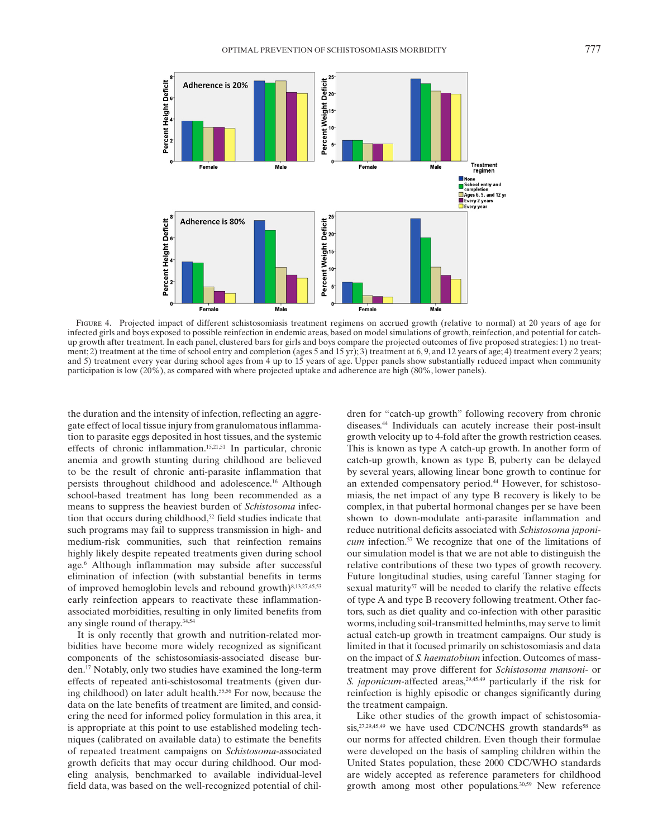

FIGURE 4. Projected impact of different schistosomiasis treatment regimens on accrued growth (relative to normal) at 20 years of age for infected girls and boys exposed to possible reinfection in endemic areas, based on model simulations of growth, reinfection, and potential for catchup growth after treatment. In each panel, clustered bars for girls and boys compare the projected outcomes of five proposed strategies: 1) no treatment; 2) treatment at the time of school entry and completion (ages 5 and 15 yr); 3) treatment at 6, 9, and 12 years of age; 4) treatment every 2 years; and 5) treatment every year during school ages from 4 up to 15 years of age. Upper panels show substantially reduced impact when community participation is low (20%), as compared with where projected uptake and adherence are high (80%, lower panels).

the duration and the intensity of infection, reflecting an aggregate effect of local tissue injury from granulomatous inflammation to parasite eggs deposited in host tissues, and the systemic effects of chronic inflammation. 15,21,51 In particular, chronic anemia and growth stunting during childhood are believed to be the result of chronic anti-parasite inflammation that persists throughout childhood and adolescence.<sup>16</sup> Although school-based treatment has long been recommended as a means to suppress the heaviest burden of *Schistosoma* infection that occurs during childhood,<sup>52</sup> field studies indicate that such programs may fail to suppress transmission in high- and medium-risk communities, such that reinfection remains highly likely despite repeated treatments given during school age.<sup>6</sup> Although inflammation may subside after successful elimination of infection (with substantial benefits in terms of improved hemoglobin levels and rebound growth)<sup>8,13,27,45,53</sup> early reinfection appears to reactivate these inflammationassociated morbidities, resulting in only limited benefits from any single round of therapy. 34,54

 It is only recently that growth and nutrition-related morbidities have become more widely recognized as significant components of the schistosomiasis-associated disease burden. 17 Notably, only two studies have examined the long-term effects of repeated anti-schistosomal treatments (given during childhood) on later adult health. 55,56 For now, because the data on the late benefits of treatment are limited, and considering the need for informed policy formulation in this area, it is appropriate at this point to use established modeling techniques (calibrated on available data) to estimate the benefits of repeated treatment campaigns on *Schistosoma* -associated growth deficits that may occur during childhood. Our modeling analysis, benchmarked to available individual-level field data, was based on the well-recognized potential of children for "catch-up growth" following recovery from chronic diseases. 44 Individuals can acutely increase their post-insult growth velocity up to 4-fold after the growth restriction ceases. This is known as type A catch-up growth. In another form of catch-up growth, known as type B, puberty can be delayed by several years, allowing linear bone growth to continue for an extended compensatory period. 44 However, for schistosomiasis, the net impact of any type B recovery is likely to be complex, in that pubertal hormonal changes per se have been shown to down-modulate anti-parasite inflammation and reduce nutritional deficits associated with *Schistosoma japonicum* infection.<sup>57</sup> We recognize that one of the limitations of our simulation model is that we are not able to distinguish the relative contributions of these two types of growth recovery. Future longitudinal studies, using careful Tanner staging for sexual maturity<sup>57</sup> will be needed to clarify the relative effects of type A and type B recovery following treatment. Other factors, such as diet quality and co-infection with other parasitic worms, including soil-transmitted helminths, may serve to limit actual catch-up growth in treatment campaigns. Our study is limited in that it focused primarily on schistosomiasis and data on the impact of *S. haematobium* infection. Outcomes of masstreatment may prove different for *Schistosoma mansoni* - or *S. japonicum* -affected areas, 29,45,49 particularly if the risk for reinfection is highly episodic or changes significantly during the treatment campaign.

 Like other studies of the growth impact of schistosomiasis, <sup>27,29,45,49</sup> we have used CDC/NCHS growth standards<sup>58</sup> as our norms for affected children. Even though their formulae were developed on the basis of sampling children within the United States population, these 2000 CDC/WHO standards are widely accepted as reference parameters for childhood growth among most other populations. 30,59 New reference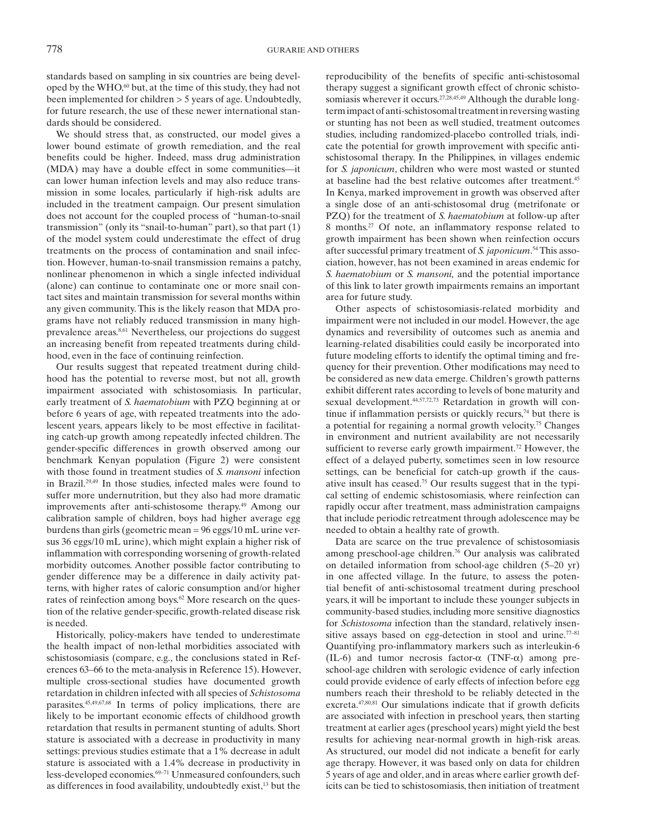standards based on sampling in six countries are being developed by the WHO,<sup>60</sup> but, at the time of this study, they had not been implemented for children > 5 years of age. Undoubtedly, for future research, the use of these newer international standards should be considered.

 We should stress that, as constructed, our model gives a lower bound estimate of growth remediation, and the real benefits could be higher. Indeed, mass drug administration (MDA) may have a double effect in some communities—it can lower human infection levels and may also reduce transmission in some locales, particularly if high-risk adults are included in the treatment campaign. Our present simulation does not account for the coupled process of "human-to-snail transmission" (only its "snail-to-human" part), so that part (1) of the model system could underestimate the effect of drug treatments on the process of contamination and snail infection. However, human-to-snail transmission remains a patchy, nonlinear phenomenon in which a single infected individual (alone) can continue to contaminate one or more snail contact sites and maintain transmission for several months within any given community. This is the likely reason that MDA programs have not reliably reduced transmission in many highprevalence areas. 8,61 Nevertheless, our projections do suggest an increasing benefit from repeated treatments during childhood, even in the face of continuing reinfection.

 Our results suggest that repeated treatment during childhood has the potential to reverse most, but not all, growth impairment associated with schistosomiasis. In particular, early treatment of *S. haematobium* with PZQ beginning at or before 6 years of age, with repeated treatments into the adolescent years, appears likely to be most effective in facilitating catch-up growth among repeatedly infected children. The gender-specific differences in growth observed among our benchmark Kenyan population (Figure 2) were consistent with those found in treatment studies of *S. mansoni* infection in Brazil. 29,49 In those studies, infected males were found to suffer more undernutrition, but they also had more dramatic improvements after anti-schistosome therapy.<sup>49</sup> Among our calibration sample of children, boys had higher average egg burdens than girls (geometric mean = 96 eggs/10 mL urine versus 36 eggs/10 mL urine), which might explain a higher risk of inflammation with corresponding worsening of growth-related morbidity outcomes. Another possible factor contributing to gender difference may be a difference in daily activity patterns, with higher rates of caloric consumption and/or higher rates of reinfection among boys.<sup>62</sup> More research on the question of the relative gender-specific, growth-related disease risk is needed.

 Historically, policy-makers have tended to underestimate the health impact of non-lethal morbidities associated with schistosomiasis (compare, e.g., the conclusions stated in References 63–66 to the meta-analysis in Reference 15). However, multiple cross-sectional studies have documented growth retardation in children infected with all species of *Schistosoma* parasites. 45,49,67,68 In terms of policy implications, there are likely to be important economic effects of childhood growth retardation that results in permanent stunting of adults. Short stature is associated with a decrease in productivity in many settings: previous studies estimate that a 1% decrease in adult stature is associated with a 1.4% decrease in productivity in less-developed economies. 69–71 Unmeasured confounders, such as differences in food availability, undoubtedly exist, 13 but the

reproducibility of the benefits of specific anti-schistosomal therapy suggest a significant growth effect of chronic schistosomiasis wherever it occurs.<sup>27,28,45,49</sup> Although the durable longterm impact of anti-schistosomal treatment in reversing wasting or stunting has not been as well studied, treatment outcomes studies, including randomized-placebo controlled trials, indicate the potential for growth improvement with specific antischistosomal therapy. In the Philippines, in villages endemic for *S. japonicum*, children who were most wasted or stunted at baseline had the best relative outcomes after treatment. 45 In Kenya, marked improvement in growth was observed after a single dose of an anti-schistosomal drug (metrifonate or PZQ) for the treatment of *S. haematobium* at follow-up after 8 months.<sup>27</sup> Of note, an inflammatory response related to growth impairment has been shown when reinfection occurs after successful primary treatment of *S. japonicum*.<sup>54</sup> This association, however, has not been examined in areas endemic for *S. haematobium* or *S. mansoni,* and the potential importance of this link to later growth impairments remains an important area for future study.

 Other aspects of schistosomiasis-related morbidity and impairment were not included in our model. However, the age dynamics and reversibility of outcomes such as anemia and learning-related disabilities could easily be incorporated into future modeling efforts to identify the optimal timing and frequency for their prevention. Other modifications may need to be considered as new data emerge. Children's growth patterns exhibit different rates according to levels of bone maturity and sexual development.<sup>44,57,72,73</sup> Retardation in growth will continue if inflammation persists or quickly recurs,<sup>74</sup> but there is a potential for regaining a normal growth velocity.<sup>75</sup> Changes in environment and nutrient availability are not necessarily sufficient to reverse early growth impairment.<sup>72</sup> However, the effect of a delayed puberty, sometimes seen in low resource settings, can be beneficial for catch-up growth if the causative insult has ceased. 75 Our results suggest that in the typical setting of endemic schistosomiasis, where reinfection can rapidly occur after treatment, mass administration campaigns that include periodic retreatment through adolescence may be needed to obtain a healthy rate of growth.

 Data are scarce on the true prevalence of schistosomiasis among preschool-age children.<sup>76</sup> Our analysis was calibrated on detailed information from school-age children (5–20 yr) in one affected village. In the future, to assess the potential benefit of anti-schistosomal treatment during preschool years, it will be important to include these younger subjects in community-based studies, including more sensitive diagnostics for *Schistosoma* infection than the standard, relatively insensitive assays based on egg-detection in stool and urine. $77-81$ Quantifying pro-inflammatory markers such as interleukin-6 (IL-6) and tumor necrosis factor- $\alpha$  (TNF- $\alpha$ ) among preschool-age children with serologic evidence of early infection could provide evidence of early effects of infection before egg numbers reach their threshold to be reliably detected in the excreta.  $47,80,81$  Our simulations indicate that if growth deficits are associated with infection in preschool years, then starting treatment at earlier ages (preschool years) might yield the best results for achieving near-normal growth in high-risk areas. As structured, our model did not indicate a benefit for early age therapy. However, it was based only on data for children 5 years of age and older, and in areas where earlier growth deficits can be tied to schistosomiasis, then initiation of treatment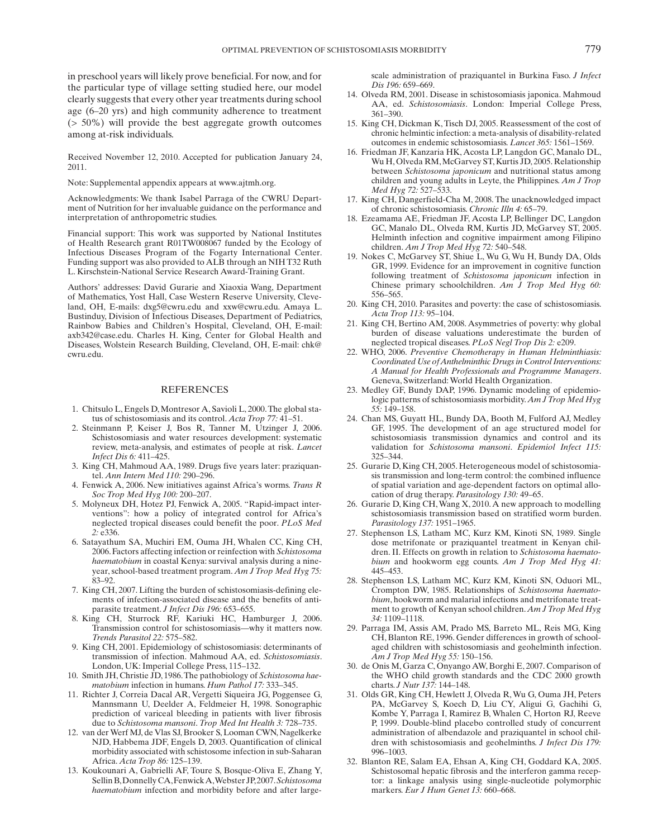in preschool years will likely prove beneficial. For now, and for the particular type of village setting studied here, our model clearly suggests that every other year treatments during school age (6–20 yrs) and high community adherence to treatment (> 50%) will provide the best aggregate growth outcomes among at-risk individuals.

 Received November 12, 2010. Accepted for publication January 24, 2011.

Note: Supplemental appendix appears at www.ajtmh.org.

 Acknowledgments: We thank Isabel Parraga of the CWRU Department of Nutrition for her invaluable guidance on the performance and interpretation of anthropometric studies.

 Financial support: This work was supported by National Institutes of Health Research grant R01TW008067 funded by the Ecology of Infectious Diseases Program of the Fogarty International Center. Funding support was also provided to ALB through an NIH T32 Ruth L. Kirschstein-National Service Research Award-Training Grant.

 Authors' addresses: David Gurarie and Xiaoxia Wang, Department of Mathematics, Yost Hall, Case Western Reserve University, Cleveland, OH, E-mails: dxg5@cwru.edu and xxw@cwru.edu. Amaya L. Bustinduy, Division of Infectious Diseases, Department of Pediatrics, Rainbow Babies and Children's Hospital, Cleveland, OH, E-mail: axb342@case.edu. Charles H. King, Center for Global Health and Diseases, Wolstein Research Building, Cleveland, OH, E-mail: chk@ cwru.edu.

#### REFERENCES

- 1. Chitsulo L, Engels D, Montresor A, Savioli L, 2000. The global status of schistosomiasis and its control. *Acta Trop* 77: 41-51.
- 2. Steinmann P, Keiser J, Bos R, Tanner M, Utzinger J, 2006. Schistosomiasis and water resources development: systematic review, meta-analysis, and estimates of people at risk . *Lancet Infect Dis 6:* 411–425.
- 3. King CH, Mahmoud AA, 1989. Drugs five years later: praziquantel. Ann Intern Med 110: 290-296.
- 4. Fenwick A , 2006 . New initiatives against Africa's worms . *Trans R Soc Trop Med Hyg 100: 200-207.*
- 5. Molyneux DH, Hotez PJ, Fenwick A, 2005. "Rapid-impact interventions": how a policy of integrated control for Africa's neglected tropical diseases could benefit the poor . *PLoS Med 2:* e336 .
- 6. Satayathum SA, Muchiri EM, Ouma JH, Whalen CC, King CH, 2006 . Factors affecting infection or reinfection with *Schistosoma haematobium* in coastal Kenya: survival analysis during a nineyear, school-based treatment program . *Am J Trop Med Hyg 75:* 83-92.
- 7. King CH, 2007. Lifting the burden of schistosomiasis-defining elements of infection-associated disease and the benefits of antiparasite treatment. *J Infect Dis 196:* 653-655.
- 8. King CH, Sturrock RF, Kariuki HC, Hamburger J, 2006. Transmission control for schistosomiasis—why it matters now . *Trends Parasitol 22:* 575 – 582 .
- 9. King CH, 2001. Epidemiology of schistosomiasis: determinants of transmission of infection . Mahmoud AA , ed. *Schistosomiasis* . London, UK: Imperial College Press, 115–132.
- 10. Smith JH , Christie JD , 1986 . The pathobiology of *Schistosoma haematobium* infection in humans . *Hum Pathol 17:* 333 – 345 .
- 11. Richter J, Correia Dacal AR, Vergetti Siqueira JG, Poggensee G, Mannsmann U, Deelder A, Feldmeier H, 1998. Sonographic prediction of variceal bleeding in patients with liver fibrosis due to *Schistosoma mansoni*. *Trop Med Int Health* 3: 728–735.
- 12. van der Werf MJ, de Vlas SJ, Brooker S, Looman CWN, Nagelkerke NJD, Habbema JDF, Engels D, 2003. Quantification of clinical morbidity associated with schistosome infection in sub-Saharan Africa. Acta Trop 86: 125-139.
- 13. Koukounari A, Gabrielli AF, Toure S, Bosque-Oliva E, Zhang Y, Sellin B, Donnelly CA, Fenwick A, Webster JP, 2007. *Schistosoma haematobium* infection and morbidity before and after large-

scale administration of praziquantel in Burkina Faso . *J Infect Dis 196:* 659 – 669 .

- 14. Olveda RM, 2001. Disease in schistosomiasis japonica. Mahmoud AA, ed. Schistosomiasis. London: Imperial College Press, 361-390.
- 15. King CH, Dickman K, Tisch DJ, 2005. Reassessment of the cost of chronic helmintic infection: a meta-analysis of disability-related outcomes in endemic schistosomiasis. *Lancet* 365: 1561-1569.
- 16. Friedman JF, Kanzaria HK, Acosta LP, Langdon GC, Manalo DL, Wu H, Olveda RM, McGarvey ST, Kurtis JD, 2005. Relationship between *Schistosoma japonicum* and nutritional status among children and young adults in Leyte, the Philippines . *Am J Trop Med Hyg* 72: 527–533.
- 17. King CH, Dangerfield-Cha M, 2008. The unacknowledged impact of chronic schistosomiasis. *Chronic Illn 4:* 65-79.
- 18. Ezeamama AE, Friedman JF, Acosta LP, Bellinger DC, Langdon GC, Manalo DL, Olveda RM, Kurtis JD, McGarvey ST, 2005. Helminth infection and cognitive impairment among Filipino children. *Am J Trop Med Hyg 72:* 540–548.
- 19. Nokes C, McGarvey ST, Shiue L, Wu G, Wu H, Bundy DA, Olds GR, 1999. Evidence for an improvement in cognitive function following treatment of *Schistosoma japonicum* infection in Chinese primary schoolchildren . *Am J Trop Med Hyg 60:* 556-565.
- 20. King CH, 2010. Parasites and poverty: the case of schistosomiasis. *Acta Trop 113:* 95 – 104 .
- 21. King CH, Bertino AM, 2008. Asymmetries of poverty: why global burden of disease valuations underestimate the burden of neglected tropical diseases . *PLoS Negl Trop Dis 2:* e209 .
- 22. WHO, 2006. Preventive Chemotherapy in Human Helminthiasis: *Coordinated Use of Anthelminthic Drugs in Control Interventions: A Manual for Health Professionals and Programme Managers* . Geneva, Switzerland: World Health Organization.
- 23. Medley GF, Bundy DAP, 1996. Dynamic modeling of epidemiologic patterns of schistosomiasis morbidity . *Am J Trop Med Hyg 55:* 149–158.
- 24. Chan MS, Guyatt HL, Bundy DA, Booth M, Fulford AJ, Medley GF, 1995. The development of an age structured model for schistosomiasis transmission dynamics and control and its validation for *Schistosoma mansoni* . *Epidemiol Infect 115:* 325 – 344.
- 25. Gurarie D, King CH, 2005. Heterogeneous model of schistosomiasis transmission and long-term control: the combined influence of spatial variation and age-dependent factors on optimal allocation of drug therapy. *Parasitology* 130: 49-65.
- 26. Gurarie D, King CH, Wang X, 2010. A new approach to modelling schistosomiasis transmission based on stratified worm burden . Parasitology 137: 1951-1965.
- 27. Stephenson LS, Latham MC, Kurz KM, Kinoti SN, 1989. Single dose metrifonate or praziquantel treatment in Kenyan children. II. Effects on growth in relation to *Schistosoma haematobium* and hookworm egg counts . *Am J Trop Med Hyg 41:* 445 – 453.
- 28. Stephenson LS, Latham MC, Kurz KM, Kinoti SN, Oduori ML, Crompton DW , 1985 . Relationships of *Schistosoma haematobium* , hookworm and malarial infections and metrifonate treatment to growth of Kenyan school children . *Am J Trop Med Hyg 34:* 1109–1118.
- 29. Parraga IM, Assis AM, Prado MS, Barreto ML, Reis MG, King CH, Blanton RE, 1996. Gender differences in growth of schoolaged children with schistosomiasis and geohelminth infection. *Am J Trop Med Hyg* 55: 150-156.
- 30. de Onis M, Garza C, Onyango AW, Borghi E, 2007. Comparison of the WHO child growth standards and the CDC 2000 growth charts. *J Nutr 137*: 144-148.
- 31. Olds GR, King CH, Hewlett J, Olveda R, Wu G, Ouma JH, Peters PA, McGarvey S, Koech D, Liu CY, Aligui G, Gachihi G, Kombe Y, Parraga I, Ramirez B, Whalen C, Horton RJ, Reeve P, 1999. Double-blind placebo controlled study of concurrent administration of albendazole and praziquantel in school children with schistosomiasis and geohelminths . *J Infect Dis 179:* 996 – 1003.
- 32. Blanton RE, Salam EA, Ehsan A, King CH, Goddard KA, 2005. Schistosomal hepatic fibrosis and the interferon gamma receptor: a linkage analysis using single-nucleotide polymorphic markers. *Eur J Hum Genet 13:* 660-668.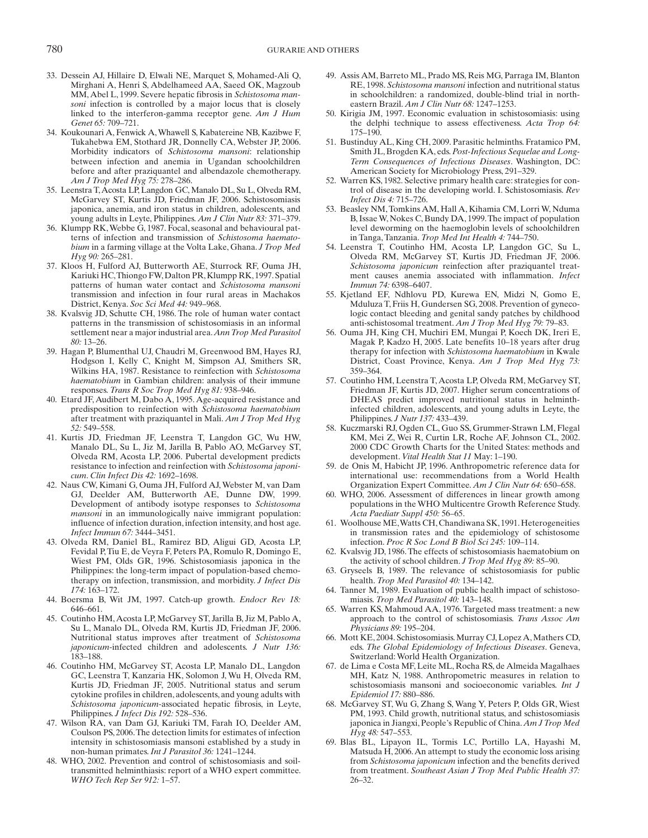- 33. Dessein AJ, Hillaire D, Elwali NE, Marquet S, Mohamed-Ali Q, Mirghani A, Henri S, Abdelhameed AA, Saeed OK, Magzoub MM, Abel L, 1999. Severe hepatic fibrosis in *Schistosoma mansoni* infection is controlled by a major locus that is closely linked to the interferon-gamma receptor gene . *Am J Hum*  Genet 65: 709-721.
- 34. Koukounari A, Fenwick A, Whawell S, Kabatereine NB, Kazibwe F, Tukahebwa EM, Stothard JR, Donnelly CA, Webster JP, 2006. Morbidity indicators of *Schistosoma mansoni*: relationship between infection and anemia in Ugandan schoolchildren before and after praziquantel and albendazole chemotherapy. *Am J Trop Med Hyg 75:* 278 – 286 .
- 35. Leenstra T, Acosta LP, Langdon GC, Manalo DL, Su L, Olveda RM, McGarvey ST, Kurtis JD, Friedman JF, 2006. Schistosomiasis japonica, anemia, and iron status in children, adolescents, and young adults in Leyte, Philippines. Am J Clin Nutr 83: 371-379.
- 36. Klumpp RK, Webbe G, 1987. Focal, seasonal and behavioural patterns of infection and transmission of *Schistosoma haematobium* in a farming village at the Volta Lake, Ghana . *J Trop Med Hyg* 90: 265-281.
- 37. Kloos H, Fulford AJ, Butterworth AE, Sturrock RF, Ouma JH, Kariuki HC, Thiongo FW, Dalton PR, Klumpp RK, 1997. Spatial patterns of human water contact and *Schistosoma mansoni* transmission and infection in four rural areas in Machakos District, Kenya. *Soc Sci Med 44:* 949-968.
- 38. Kvalsvig JD, Schutte CH, 1986. The role of human water contact patterns in the transmission of schistosomiasis in an informal settlement near a major industrial area . *Ann Trop Med Parasitol 80:* 13 – 26 .
- 39. Hagan P, Blumenthal UJ, Chaudri M, Greenwood BM, Hayes RJ, Hodgson I, Kelly C, Knight M, Simpson AJ, Smithers SR, Wilkins HA , 1987 . Resistance to reinfection with *Schistosoma haematobium* in Gambian children: analysis of their immune responses. Trans R Soc Trop Med Hyg 81: 938-946.
- 40. Etard JF, Audibert M, Dabo A, 1995. Age-acquired resistance and predisposition to reinfection with *Schistosoma haematobium* after treatment with praziquantel in Mali . *Am J Trop Med Hyg 52:* 549 – 558 .
- 41. Kurtis JD, Friedman JF, Leenstra T, Langdon GC, Wu HW, Manalo DL, Su L, Jiz M, Jarilla B, Pablo AO, McGarvey ST, Olveda RM, Acosta LP, 2006. Pubertal development predicts resistance to infection and reinfection with *Schistosoma japonicum* . *Clin Infect Dis 42:* 1692 – 1698 .
- 42. Naus CW, Kimani G, Ouma JH, Fulford AJ, Webster M, van Dam GJ, Deelder AM, Butterworth AE, Dunne DW, 1999. Development of antibody isotype responses to *Schistosoma mansoni* in an immunologically naive immigrant population: influence of infection duration, infection intensity, and host age . *Infect Immun 67:* 3444 – 3451 .
- 43. Olveda RM, Daniel BL, Ramirez BD, Aligui GD, Acosta LP, Fevidal P, Tiu E, de Veyra F, Peters PA, Romulo R, Domingo E, Wiest PM, Olds GR, 1996. Schistosomiasis japonica in the Philippines: the long-term impact of population-based chemotherapy on infection, transmission, and morbidity . *J Infect Dis 174*: 163-172.
- 44. Boersma B, Wit JM, 1997. Catch-up growth. *Endocr Rev 18:* 646-661.
- 45. Coutinho HM, Acosta LP, McGarvey ST, Jarilla B, Jiz M, Pablo A, Su L, Manalo DL, Olveda RM, Kurtis JD, Friedman JF, 2006. Nutritional status improves after treatment of *Schistosoma japonicum* -infected children and adolescents . *J Nutr 136:*  $183 - 188.$
- 46. Coutinho HM, McGarvey ST, Acosta LP, Manalo DL, Langdon GC, Leenstra T, Kanzaria HK, Solomon J, Wu H, Olveda RM, Kurtis JD, Friedman JF, 2005. Nutritional status and serum cytokine profiles in children, adolescents, and young adults with *Schistosoma japonicum* -associated hepatic fibrosis, in Leyte, Philippines . *J Infect Dis 192:* 528 – 536 .
- 47. Wilson RA, van Dam GJ, Kariuki TM, Farah IO, Deelder AM, Coulson PS, 2006. The detection limits for estimates of infection intensity in schistosomiasis mansoni established by a study in non-human primates. *Int J Parasitol* 36: 1241-1244.
- 48. WHO, 2002. Prevention and control of schistosomiasis and soiltransmitted helminthiasis: report of a WHO expert committee . *WHO Tech Rep Ser 912:* 1-57.
- 49. Assis AM, Barreto ML, Prado MS, Reis MG, Parraga IM, Blanton RE , 1998 . *Schistosoma mansoni* infection and nutritional status in schoolchildren: a randomized, double-blind trial in northeastern Brazil. *Am J Clin Nutr 68*: 1247-1253.
- 50. Kirigia JM, 1997. Economic evaluation in schistosomiasis: using the delphi technique to assess effectiveness . *Acta Trop 64:* 175 – 190.
- 51. Bustinduy AL, King CH, 2009. Parasitic helminths. Fratamico PM, Smith JL , Brogden KA , eds. *Post-Infectious Sequelae and Long-Term Consequences of Infectious Diseases* . Washington, DC : American Society for Microbiology Press, 291-329.
- 52. Warren KS, 1982. Selective primary health care: strategies for control of disease in the developing world. I. Schistosomiasis . *Rev Infect Dis 4:* 715 – 726 .
- 53. Beasley NM, Tomkins AM, Hall A, Kihamia CM, Lorri W, Nduma B, Issae W, Nokes C, Bundy DA, 1999. The impact of population level deworming on the haemoglobin levels of schoolchildren in Tanga, Tanzania. *Trop Med Int Health 4:* 744–750.
- 54. Leenstra T, Coutinho HM, Acosta LP, Langdon GC, Su L, Olveda RM, McGarvey ST, Kurtis JD, Friedman JF, 2006. *Schistosoma japonicum* reinfection after praziquantel treatment causes anemia associated with inflammation. *Infect Immun* 74: 6398-6407.
- 55. Kjetland EF, Ndhlovu PD, Kurewa EN, Midzi N, Gomo E, Mduluza T, Friis H, Gundersen SG, 2008. Prevention of gynecologic contact bleeding and genital sandy patches by childhood anti-schistosomal treatment. Am J Trop Med Hyg 79: 79-83.
- 56. Ouma JH, King CH, Muchiri EM, Mungai P, Koech DK, Ireri E, Magak P, Kadzo H, 2005. Late benefits 10-18 years after drug therapy for infection with *Schistosoma haematobium* in Kwale District, Coast Province, Kenya . *Am J Trop Med Hyg 73:* 359-364.
- 57. Coutinho HM, Leenstra T, Acosta LP, Olveda RM, McGarvey ST, Friedman JF, Kurtis JD, 2007. Higher serum concentrations of DHEAS predict improved nutritional status in helminthinfected children, adolescents, and young adults in Leyte, the Philippines. *J Nutr 137:* 433-439.
- 58. Kuczmarski RJ, Ogden CL, Guo SS, Grummer-Strawn LM, Flegal KM, Mei Z, Wei R, Curtin LR, Roche AF, Johnson CL, 2002. 2000 CDC Growth Charts for the United States: methods and development. *Vital Health Stat 11* May: 1-190.
- 59. de Onis M, Habicht JP, 1996. Anthropometric reference data for international use: recommendations from a World Health Organization Expert Committee. *Am J Clin Nutr* 64: 650–658.
- 60. WHO, 2006. Assessment of differences in linear growth among populations in the WHO Multicentre Growth Reference Study. *Acta Paediatr Suppl 450:* 56 – 65 .
- 61. Woolhouse ME , Watts CH , Chandiwana SK , 1991 . Heterogeneities in transmission rates and the epidemiology of schistosome infection. *Proc R Soc Lond B Biol Sci 245:* 109-114.
- 62. Kvalsvig JD, 1986. The effects of schistosomiasis haematobium on the activity of school children. *J Trop Med Hyg 89*: 85–90.
- 63. Gryseels B, 1989. The relevance of schistosomiasis for public health. *Trop Med Parasitol* 40: 134-142.
- 64. Tanner M, 1989. Evaluation of public health impact of schistosomiasis. Trop Med Parasitol 40: 143-148.
- 65. Warren KS , Mahmoud AA , 1976 . Targeted mass treatment: a new approach to the control of schistosomiasis . *Trans Assoc Am Physicians* 89: 195-204.
- 66. Mott KE, 2004. Schistosomiasis. Murray CJ, Lopez A, Mathers CD, eds. *The Global Epidemiology of Infectious Diseases* . Geneva, Switzerland: World Health Organization.
- 67. de Lima e Costa MF, Leite ML, Rocha RS, de Almeida Magalhaes MH, Katz N, 1988. Anthropometric measures in relation to schistosomiasis mansoni and socioeconomic variables . *Int J Epidemiol 17:* 880 – 886 .
- 68. McGarvey ST, Wu G, Zhang S, Wang Y, Peters P, Olds GR, Wiest PM, 1993. Child growth, nutritional status, and schistosomiasis japonica in Jiangxi, People's Republic of China . *Am J Trop Med Hyg* 48: 547–553.
- 69. Blas BL, Lipayon IL, Tormis LC, Portillo LA, Hayashi M, Matsuda H, 2006. An attempt to study the economic loss arising from *Schistosoma japonicum* infection and the benefits derived from treatment. Southeast Asian J Trop Med Public Health 37:  $26 - 32.$